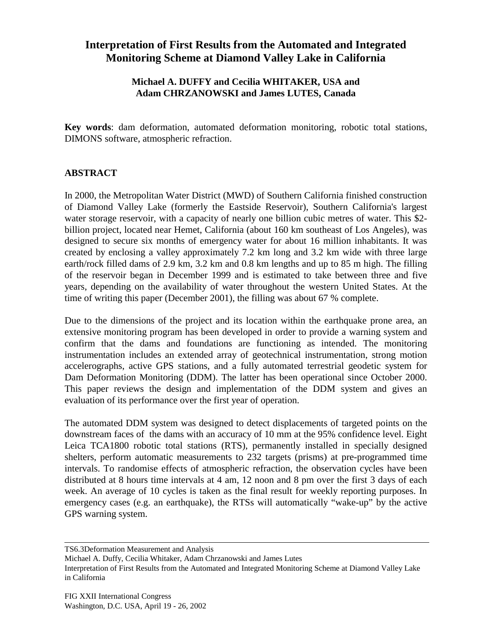## **Interpretation of First Results from the Automated and Integrated Monitoring Scheme at Diamond Valley Lake in California**

## **Michael A. DUFFY and Cecilia WHITAKER, USA and Adam CHRZANOWSKI and James LUTES, Canada**

**Key words**: dam deformation, automated deformation monitoring, robotic total stations, DIMONS software, atmospheric refraction.

## **ABSTRACT**

In 2000, the Metropolitan Water District (MWD) of Southern California finished construction of Diamond Valley Lake (formerly the Eastside Reservoir), Southern California's largest water storage reservoir, with a capacity of nearly one billion cubic metres of water. This \$2billion project, located near Hemet, California (about 160 km southeast of Los Angeles), was designed to secure six months of emergency water for about 16 million inhabitants. It was created by enclosing a valley approximately 7.2 km long and 3.2 km wide with three large earth/rock filled dams of 2.9 km, 3.2 km and 0.8 km lengths and up to 85 m high. The filling of the reservoir began in December 1999 and is estimated to take between three and five years, depending on the availability of water throughout the western United States. At the time of writing this paper (December 2001), the filling was about 67 % complete.

Due to the dimensions of the project and its location within the earthquake prone area, an extensive monitoring program has been developed in order to provide a warning system and confirm that the dams and foundations are functioning as intended. The monitoring instrumentation includes an extended array of geotechnical instrumentation, strong motion accelerographs, active GPS stations, and a fully automated terrestrial geodetic system for Dam Deformation Monitoring (DDM). The latter has been operational since October 2000. This paper reviews the design and implementation of the DDM system and gives an evaluation of its performance over the first year of operation.

The automated DDM system was designed to detect displacements of targeted points on the downstream faces of the dams with an accuracy of 10 mm at the 95% confidence level. Eight Leica TCA1800 robotic total stations (RTS), permanently installed in specially designed shelters, perform automatic measurements to 232 targets (prisms) at pre-programmed time intervals. To randomise effects of atmospheric refraction, the observation cycles have been distributed at 8 hours time intervals at 4 am, 12 noon and 8 pm over the first 3 days of each week. An average of 10 cycles is taken as the final result for weekly reporting purposes. In emergency cases (e.g. an earthquake), the RTSs will automatically "wake-up" by the active GPS warning system.

TS6.3Deformation Measurement and Analysis

Michael A. Duffy, Cecilia Whitaker, Adam Chrzanowski and James Lutes

Interpretation of First Results from the Automated and Integrated Monitoring Scheme at Diamond Valley Lake in California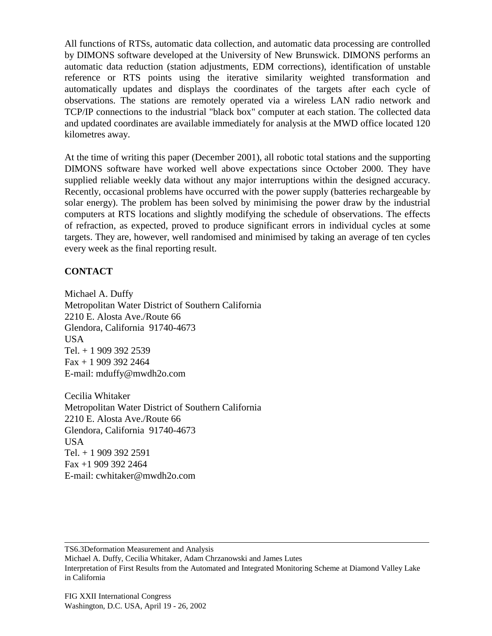All functions of RTSs, automatic data collection, and automatic data processing are controlled by DIMONS software developed at the University of New Brunswick. DIMONS performs an automatic data reduction (station adjustments, EDM corrections), identification of unstable reference or RTS points using the iterative similarity weighted transformation and automatically updates and displays the coordinates of the targets after each cycle of observations. The stations are remotely operated via a wireless LAN radio network and TCP/IP connections to the industrial "black box" computer at each station. The collected data and updated coordinates are available immediately for analysis at the MWD office located 120 kilometres away.

At the time of writing this paper (December 2001), all robotic total stations and the supporting DIMONS software have worked well above expectations since October 2000. They have supplied reliable weekly data without any major interruptions within the designed accuracy. Recently, occasional problems have occurred with the power supply (batteries rechargeable by solar energy). The problem has been solved by minimising the power draw by the industrial computers at RTS locations and slightly modifying the schedule of observations. The effects of refraction, as expected, proved to produce significant errors in individual cycles at some targets. They are, however, well randomised and minimised by taking an average of ten cycles every week as the final reporting result.

## **CONTACT**

Michael A. Duffy Metropolitan Water District of Southern California 2210 E. Alosta Ave./Route 66 Glendora, California 91740-4673 USA Tel. + 1 909 392 2539 Fax + 1 909 392 2464 E-mail: mduffy@mwdh2o.com

Cecilia Whitaker Metropolitan Water District of Southern California 2210 E. Alosta Ave./Route 66 Glendora, California 91740-4673 USA Tel. + 1 909 392 2591 Fax +1 909 392 2464 E-mail: cwhitaker@mwdh2o.com

TS6.3Deformation Measurement and Analysis

Michael A. Duffy, Cecilia Whitaker, Adam Chrzanowski and James Lutes Interpretation of First Results from the Automated and Integrated Monitoring Scheme at Diamond Valley Lake in California